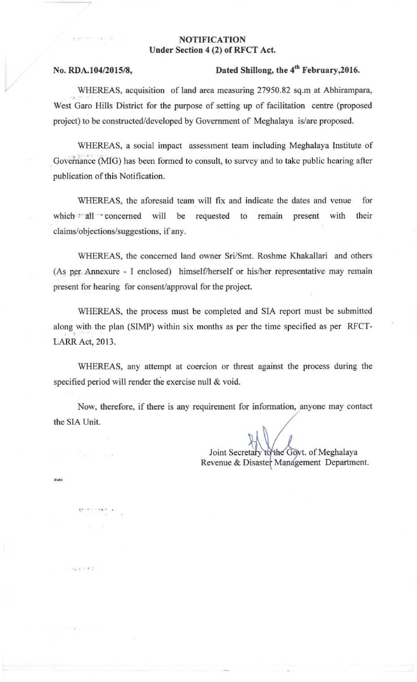## **NOTIFICATION** Under Section 4 (2) of RFCT Act.

 $x_4 + x_1 + x_2$ 

## No. RDA. 104/2015/8, Dated Shillong, the 4<sup>th</sup> February, 2016.

WHEREAS, acquisition of land area measuring 27950.82 sq.m at Abhirampara, West Garo Hills District for the purpose of setting up of facilitation centre (proposed project) to be constructed/developed by Government of Meghalaya is/are proposed.

**WHEREAS, a social impact assessment team including Meghalaya Institute of**  Governance (MIG) has been formed to consult, to survey and to take public hearing after **publication** of this **Notification.** 

WHEREAS, the aforesaid team will fix and indicate the dates and venue for which all concerned will be requested to remain present with their claims/objections/suggestions, if any.

WHEREAS, the concerned land owner Sri/Smt. Roshme Khakallari and others (As per. Annexure - I enclosed) himself/herself or his/her representative may remain present for hearing for consent/approval for the project.

WHEREAS, the process must be completed and SIA report must be submitted along with the plan (SIMP) within six months as per the time specified as per RFCT-LARR Act, 2013.

**WHEREAS, any attempt at** coercion **or threat against the process during the**  specified period will render the exercise null & void.

**Now. therefore. if there is any requirement for** information, **anyone may contact**  the SIA Unit.

Joint Secretary to the Govt. of Meghalaya **Revenue & Disaster Management Department.**